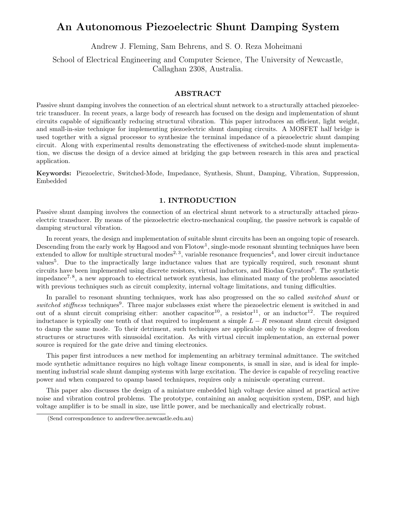# **An Autonomous Piezoelectric Shunt Damping System**

Andrew J. Fleming, Sam Behrens, and S. O. Reza Moheimani

School of Electrical Engineering and Computer Science, The University of Newcastle, Callaghan 2308, Australia.

#### **ABSTRACT**

Passive shunt damping involves the connection of an electrical shunt network to a structurally attached piezoelectric transducer. In recent years, a large body of research has focused on the design and implementation of shunt circuits capable of significantly reducing structural vibration. This paper introduces an efficient, light weight, and small-in-size technique for implementing piezoelectric shunt damping circuits. A MOSFET half bridge is used together with a signal processor to synthesize the terminal impedance of a piezoelectric shunt damping circuit. Along with experimental results demonstrating the effectiveness of switched-mode shunt implementation, we discuss the design of a device aimed at bridging the gap between research in this area and practical application.

**Keywords:** Piezoelectric, Switched-Mode, Impedance, Synthesis, Shunt, Damping, Vibration, Suppression, Embedded

#### **1. INTRODUCTION**

Passive shunt damping involves the connection of an electrical shunt network to a structurally attached piezoelectric transducer. By means of the piezoelectric electro-mechanical coupling, the passive network is capable of damping structural vibration.

In recent years, the design and implementation of suitable shunt circuits has been an ongoing topic of research. Descending from the early work by Hagood and von Flotow<sup>1</sup>, single-mode resonant shunting techniques have been extended to allow for multiple structural modes<sup>2, 3</sup>, variable resonance frequencies<sup>4</sup>, and lower circuit inductance values<sup>5</sup>. Due to the impractically large inductance values that are typically required, such resonant shunt circuits have been implemented using discrete resistors, virtual inductors, and Riodan Gyrators<sup>6</sup>. The synthetic impedance7, 8, a new approach to electrical network synthesis, has eliminated many of the problems associated with previous techniques such as circuit complexity, internal voltage limitations, and tuning difficulties.

In parallel to resonant shunting techniques, work has also progressed on the so called *switched shunt* or switched stiffness techniques<sup>9</sup>. Three major subclasses exist where the piezoelectric element is switched in and out of a shunt circuit comprising either: another capacitor<sup>10</sup>, a resistor<sup>11</sup>, or an inductor<sup>12</sup>. The required inductance is typically one tenth of that required to implement a simple  $L - R$  resonant shunt circuit designed to damp the same mode. To their detriment, such techniques are applicable only to single degree of freedom structures or structures with sinusoidal excitation. As with virtual circuit implementation, an external power source is required for the gate drive and timing electronics.

This paper first introduces a new method for implementing an arbitrary terminal admittance. The switched mode synthetic admittance requires no high voltage linear components, is small in size, and is ideal for implementing industrial scale shunt damping systems with large excitation. The device is capable of recycling reactive power and when compared to opamp based techniques, requires only a miniscule operating current.

This paper also discusses the design of a miniature embedded high voltage device aimed at practical active noise and vibration control problems. The prototype, containing an analog acquisition system, DSP, and high voltage amplifier is to be small in size, use little power, and be mechanically and electrically robust.

<sup>(</sup>Send correspondence to andrew@ee.newcastle.edu.au)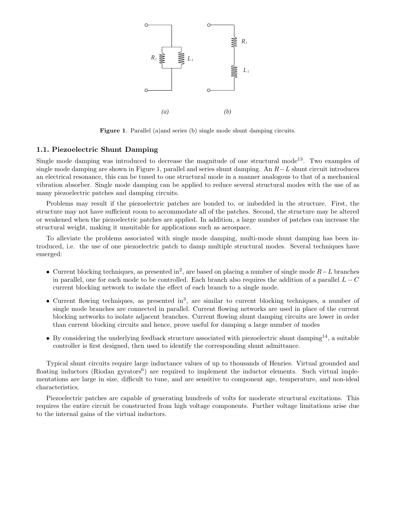

Figure 1. Parallel (a)and series (b) single mode shunt damping circuits.

## **1.1. Piezoelectric Shunt Damping**

Single mode damping was introduced to decrease the magnitude of one structural mode<sup>13</sup>. Two examples of single mode damping are shown in Figure 1, parallel and series shunt damping. An  $R-L$  shunt circuit introduces an electrical resonance, this can be tuned to one structural mode in a manner analogous to that of a mechanical vibration absorber. Single mode damping can be applied to reduce several structural modes with the use of as many piezoelectric patches and damping circuits.

Problems may result if the piezoelectric patches are bonded to, or imbedded in the structure. First, the structure may not have sufficient room to accommodate all of the patches. Second, the structure may be altered or weakened when the piezoelectric patches are applied. In addition, a large number of patches can increase the structural weight, making it unsuitable for applications such as aerospace.

To alleviate the problems associated with single mode damping, multi-mode shunt damping has been introduced, i.e. the use of one piezoelectric patch to damp multiple structural modes. Several techniques have emerged:

- Current blocking techniques, as presented in<sup>2</sup>, are based on placing a number of single mode  $R-L$  branches in parallel, one for each mode to be controlled. Each branch also requires the addition of a parallel  $L - C$ current blocking network to isolate the effect of each branch to a single mode.
- Current flowing techniques, as presented in<sup>3</sup>, are similar to current blocking techniques, a number of single mode branches are connected in parallel. Current flowing networks are used in place of the current blocking networks to isolate adjacent branches. Current flowing shunt damping circuits are lower in order than current blocking circuits and hence, prove useful for damping a large number of modes
- By considering the underlying feedback structure associated with piezoelectric shunt damping<sup>14</sup>, a suitable controller is first designed, then used to identify the corresponding shunt admittance.

Typical shunt circuits require large inductance values of up to thousands of Henries. Virtual grounded and floating inductors (Riodan gyrators<sup>6</sup>) are required to implement the inductor elements. Such virtual implementations are large in size, difficult to tune, and are sensitive to component age, temperature, and non-ideal characteristics.

Piezoelectric patches are capable of generating hundreds of volts for moderate structural excitations. This requires the entire circuit be constructed from high voltage components. Further voltage limitations arise due to the internal gains of the virtual inductors.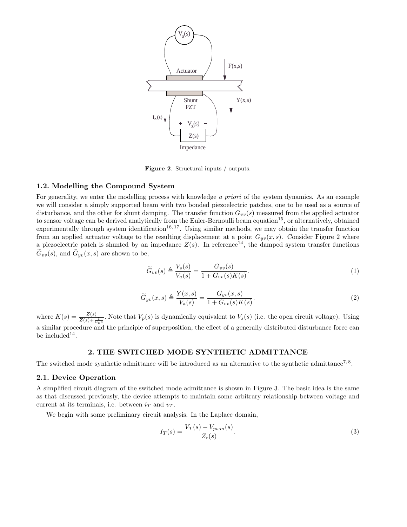

**Figure 2**. Structural inputs / outputs.

# **1.2. Modelling the Compound System**

For generality, we enter the modelling process with knowledge a priori of the system dynamics. As an example we will consider a simply supported beam with two bonded piezoelectric patches, one to be used as a source of disturbance, and the other for shunt damping. The transfer function  $G_{vv}(s)$  measured from the applied actuator to sensor voltage can be derived analytically from the Euler-Bernoulli beam equation<sup>15</sup>, or alternatively, obtained experimentally through system identification<sup>16, 17</sup>. Using similar methods, we may obtain the transfer function from an applied actuator voltage to the resulting displacement at a point  $G_{yv}(x, s)$ . Consider Figure 2 where a piezoelectric patch is shunted by an impedance  $Z(s)$ . In reference<sup>14</sup>, the damped system transfer functions  $G_{vv}(s)$ , and  $G_{yv}(x, s)$  are shown to be,

$$
\widetilde{G}_{vv}(s) \triangleq \frac{V_s(s)}{V_a(s)} = \frac{G_{vv}(s)}{1 + G_{vv}(s)K(s)}.\tag{1}
$$

$$
\widetilde{G}_{yv}(x,s) \triangleq \frac{Y(x,s)}{V_a(s)} = \frac{G_{yv}(x,s)}{1 + G_{vv}(s)K(s)}.\tag{2}
$$

where  $K(s) = \frac{Z(s)}{Z(s) + \frac{1}{C_n s}}$ . Note that  $V_p(s)$  is dynamically equivalent to  $V_s(s)$  (i.e. the open circuit voltage). Using a similar procedure and the principle of superposition, the effect of a generally distributed disturbance force can be included<sup>14</sup>.

## **2. THE SWITCHED MODE SYNTHETIC ADMITTANCE**

The switched mode synthetic admittance will be introduced as an alternative to the synthetic admittance<sup>7, 8</sup>.

### **2.1. Device Operation**

A simplified circuit diagram of the switched mode admittance is shown in Figure 3. The basic idea is the same as that discussed previously, the device attempts to maintain some arbitrary relationship between voltage and current at its terminals, i.e. between  $i_T$  and  $v_T$ .

We begin with some preliminary circuit analysis. In the Laplace domain,

$$
I_T(s) = \frac{V_T(s) - V_{pwm}(s)}{Z_c(s)}.
$$
\n(3)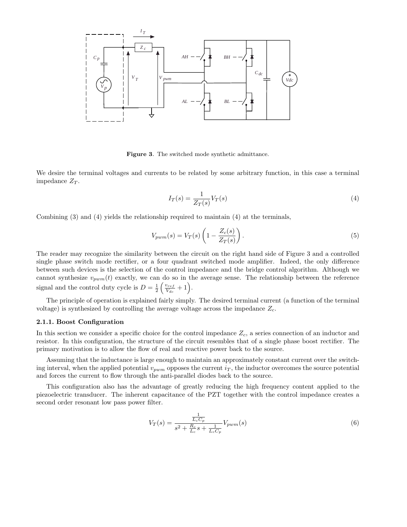

**Figure 3**. The switched mode synthetic admittance.

We desire the terminal voltages and currents to be related by some arbitrary function, in this case a terminal impedance  $Z_T$ .

$$
I_T(s) = \frac{1}{Z_T(s)} V_T(s) \tag{4}
$$

Combining (3) and (4) yields the relationship required to maintain (4) at the terminals,

$$
V_{pwm}(s) = V_T(s) \left( 1 - \frac{Z_c(s)}{Z_T(s)} \right). \tag{5}
$$

The reader may recognize the similarity between the circuit on the right hand side of Figure 3 and a controlled single phase switch mode rectifier, or a four quadrant switched mode amplifier. Indeed, the only difference between such devices is the selection of the control impedance and the bridge control algorithm. Although we cannot synthesize  $v_{pwm}(t)$  exactly, we can do so in the average sense. The relationship between the reference signal and the control duty cycle is  $D = \frac{1}{2}$  $\left(\frac{v_{ref}}{V_{dc}}+1\right).$ 

The principle of operation is explained fairly simply. The desired terminal current (a function of the terminal voltage) is synthesized by controlling the average voltage across the impedance  $Z_c$ .

## **2.1.1. Boost Configuration**

In this section we consider a specific choice for the control impedance  $Z_c$ , a series connection of an inductor and resistor. In this configuration, the structure of the circuit resembles that of a single phase boost rectifier. The primary motivation is to allow the flow of real and reactive power back to the source.

Assuming that the inductance is large enough to maintain an approximately constant current over the switching interval, when the applied potential  $v_{vwm}$  opposes the current  $i<sub>T</sub>$ , the inductor overcomes the source potential and forces the current to flow through the anti-parallel diodes back to the source.

This configuration also has the advantage of greatly reducing the high frequency content applied to the piezoelectric transducer. The inherent capacitance of the PZT together with the control impedance creates a second order resonant low pass power filter.

$$
V_T(s) = \frac{\frac{1}{L_c C_p}}{s^2 + \frac{R_c}{L_c} s + \frac{1}{L_c C_p}} V_{pwm}(s)
$$
\n(6)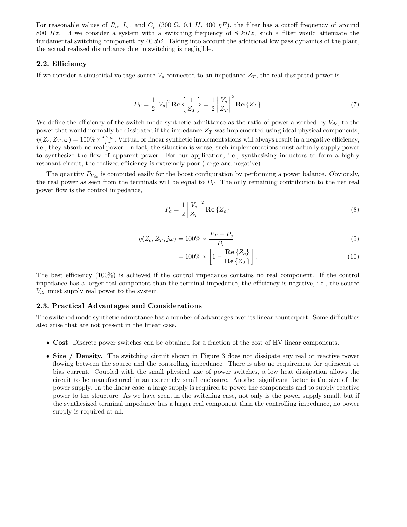For reasonable values of  $R_c$ ,  $L_c$ , and  $C_p$  (300  $\Omega$ , 0.1 H, 400  $\eta$ F), the filter has a cutoff frequency of around 800 Hz. If we consider a system with a switching frequency of 8  $kHz$ , such a filter would attenuate the fundamental switching component by  $40$  dB. Taking into account the additional low pass dynamics of the plant, the actual realized disturbance due to switching is negligible.

#### **2.2. Efficiency**

If we consider a sinusoidal voltage source  $V_s$  connected to an impedance  $Z_T$ , the real dissipated power is

$$
P_T = \frac{1}{2} |V_s|^2 \operatorname{Re} \left\{ \frac{1}{Z_T} \right\} = \frac{1}{2} \left| \frac{V_s}{Z_T} \right|^2 \operatorname{Re} \left\{ Z_T \right\} \tag{7}
$$

We define the efficiency of the switch mode synthetic admittance as the ratio of power absorbed by  $V_{dc}$ , to the power that would normally be dissipated if the impedance  $Z_T$  was implemented using ideal physical components,  $\eta(Z_c, Z_T, \omega) = 100\% \times \frac{P_{V_{dc}}}{P_T}$ . Virtual or linear synthetic implementations will always result in a negative efficiency, i.e., they absorb no real power. In fact, the situation is worse, such implementations must actually supply power to synthesize the flow of apparent power. For our application, i.e., synthesizing inductors to form a highly resonant circuit, the realized efficiency is extremely poor (large and negative).

The quantity  $P_{V_{dc}}$  is computed easily for the boost configuration by performing a power balance. Obviously, the real power as seen from the terminals will be equal to  $P_T$ . The only remaining contribution to the net real power flow is the control impedance,

$$
P_c = \frac{1}{2} \left| \frac{V_s}{Z_T} \right|^2 \mathbf{Re} \left\{ Z_c \right\} \tag{8}
$$

$$
\eta(Z_c, Z_T, j\omega) = 100\% \times \frac{P_T - P_c}{P_T} \tag{9}
$$

$$
= 100\% \times \left[1 - \frac{\text{Re}\left\{Z_c\right\}}{\text{Re}\left\{Z_T\right\}}\right].\tag{10}
$$

The best efficiency (100%) is achieved if the control impedance contains no real component. If the control impedance has a larger real component than the terminal impedance, the efficiency is negative, i.e., the source  $V_{dc}$  must supply real power to the system.

#### **2.3. Practical Advantages and Considerations**

The switched mode synthetic admittance has a number of advantages over its linear counterpart. Some difficulties also arise that are not present in the linear case.

- **Cost**. Discrete power switches can be obtained for a fraction of the cost of HV linear components.
- **Size** / **Density.** The switching circuit shown in Figure 3 does not dissipate any real or reactive power flowing between the source and the controlling impedance. There is also no requirement for quiescent or bias current. Coupled with the small physical size of power switches, a low heat dissipation allows the circuit to be manufactured in an extremely small enclosure. Another significant factor is the size of the power supply. In the linear case, a large supply is required to power the components and to supply reactive power to the structure. As we have seen, in the switching case, not only is the power supply small, but if the synthesized terminal impedance has a larger real component than the controlling impedance, no power supply is required at all.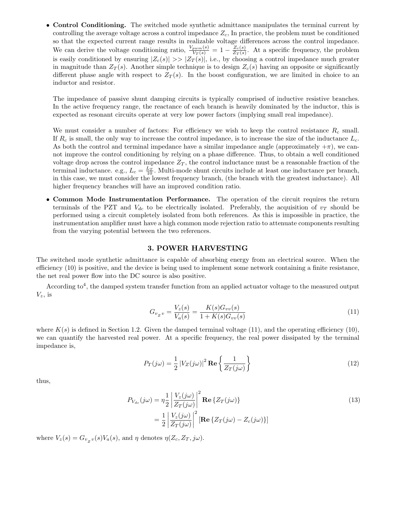• **Control Conditioning.** The switched mode synthetic admittance manipulates the terminal current by controlling the average voltage across a control impedance  $Z_c$ , In practice, the problem must be conditioned so that the expected current range results in realizable voltage differences across the control impedance. We can derive the voltage conditioning ratio,  $\frac{V_{pvm}(s)}{V_T(s)} = 1 - \frac{Z_c(s)}{Z_T(s)}$ . At a specific frequency, the problem is easily conditioned by ensuring  $|Z_c(s)| \gg |Z_T(s)|$ , i.e., by choosing a control impedance much greater in magnitude than  $Z_T(s)$ . Another simple technique is to design  $Z_c(s)$  having an opposite or significantly different phase angle with respect to  $Z_T(s)$ . In the boost configuration, we are limited in choice to an inductor and resistor.

The impedance of passive shunt damping circuits is typically comprised of inductive resistive branches. In the active frequency range, the reactance of each branch is heavily dominated by the inductor, this is expected as resonant circuits operate at very low power factors (implying small real impedance).

We must consider a number of factors: For efficiency we wish to keep the control resistance  $R_c$  small. If  $R_c$  is small, the only way to increase the control impedance, is to increase the size of the inductance  $L_c$ . As both the control and terminal impedance have a similar impedance angle (approximately  $+\pi$ ), we cannot improve the control conditioning by relying on a phase difference. Thus, to obtain a well conditioned voltage drop across the control impedance  $Z_T$ , the control inductance must be a reasonable fraction of the terminal inductance. e.g.,  $L_c = \frac{L_T}{10}$ . Multi-mode shunt circuits include at least one inductance per branch, in this case, we must consider the lowest frequency branch, (the branch with the greatest inductance). All higher frequency branches will have an improved condition ratio.

• **Common Mode Instrumentation Performance.** The operation of the circuit requires the return terminals of the PZT and  $V_{dc}$  to be electrically isolated. Preferably, the acquisition of  $v_T$  should be performed using a circuit completely isolated from both references. As this is impossible in practice, the instrumentation amplifier must have a high common mode rejection ratio to attenuate components resulting from the varying potential between the two references.

## **3. POWER HARVESTING**

The switched mode synthetic admittance is capable of absorbing energy from an electrical source. When the efficiency (10) is positive, and the device is being used to implement some network containing a finite resistance, the net real power flow into the DC source is also positive.

According  $\text{to}^4$ , the damped system transfer function from an applied actuator voltage to the measured output  $V_z$ , is

$$
G_{v_Z v} = \frac{V_z(s)}{V_a(s)} = \frac{K(s)G_{vv}(s)}{1 + K(s)G_{vv}(s)}
$$
(11)

where  $K(s)$  is defined in Section 1.2. Given the damped terminal voltage (11), and the operating efficiency (10), we can quantify the harvested real power. At a specific frequency, the real power dissipated by the terminal impedance is,

$$
P_T(j\omega) = \frac{1}{2} |V_Z(j\omega)|^2 \operatorname{Re} \left\{ \frac{1}{Z_T(j\omega)} \right\} \tag{12}
$$

thus,

$$
P_{V_{dc}}(j\omega) = \eta \frac{1}{2} \left| \frac{V_z(j\omega)}{Z_T(j\omega)} \right|^2 \mathbf{Re} \left\{ Z_T(j\omega) \right\}
$$
  
= 
$$
\frac{1}{2} \left| \frac{V_z(j\omega)}{Z_T(j\omega)} \right|^2 \left[ \mathbf{Re} \left\{ Z_T(j\omega) - Z_c(j\omega) \right\} \right]
$$
 (13)

where  $V_z(s) = G_{v_z v}(s) V_a(s)$ , and  $\eta$  denotes  $\eta(Z_c, Z_T, j\omega)$ .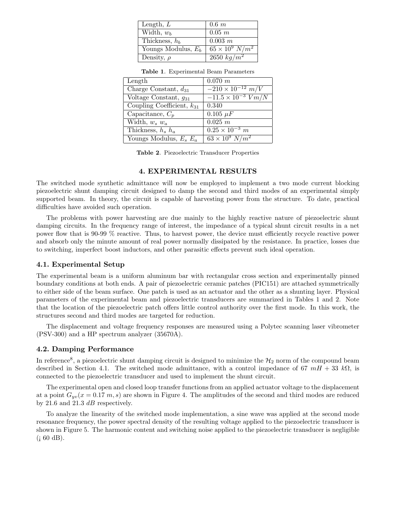| Length, $L$           | $0.6\;m$                 |
|-----------------------|--------------------------|
| Width, $w_b$          | $0.05$ m                 |
| Thickness, $h_b$      | $0.003 \; m$             |
| Youngs Modulus, $E_b$ | $65 \times 10^9 \ N/m^2$ |
| Density, $\rho$       | 2650 $kg/m^2$            |

| Length                         | $0.070\ m$                          |
|--------------------------------|-------------------------------------|
| Charge Constant, $d_{31}$      | $-2\overline{10\times10^{-12} m/V}$ |
| Voltage Constant, $g_{31}$     | $-11.5 \times 10^{-3}$ $Vm/N$       |
| Coupling Coefficient, $k_{31}$ | 0.340                               |
| Capacitance, $C_p$             | $0.105 \mu F$                       |
| Width, $w_s w_a$               | $\overline{0.025}$ m                |
| Thickness, $h_s$ $h_a$         | $0.25 \times 10^{-3}$ m             |
| Youngs Modulus, $E_s E_a$      | $63 \times 10^9 \ N/m^2$            |

**Table 1**. Experimental Beam Parameters

**Table 2**. Piezoelectric Transducer Properties

#### **4. EXPERIMENTAL RESULTS**

The switched mode synthetic admittance will now be employed to implement a two mode current blocking piezoelectric shunt damping circuit designed to damp the second and third modes of an experimental simply supported beam. In theory, the circuit is capable of harvesting power from the structure. To date, practical difficulties have avoided such operation.

The problems with power harvesting are due mainly to the highly reactive nature of piezoelectric shunt damping circuits. In the frequency range of interest, the impedance of a typical shunt circuit results in a net power flow that is 90-99 % reactive. Thus, to harvest power, the device must efficiently recycle reactive power and absorb only the minute amount of real power normally dissipated by the resistance. In practice, losses due to switching, imperfect boost inductors, and other parasitic effects prevent such ideal operation.

#### **4.1. Experimental Setup**

The experimental beam is a uniform aluminum bar with rectangular cross section and experimentally pinned boundary conditions at both ends. A pair of piezoelectric ceramic patches (PIC151) are attached symmetrically to either side of the beam surface. One patch is used as an actuator and the other as a shunting layer. Physical parameters of the experimental beam and piezoelectric transducers are summarized in Tables 1 and 2. Note that the location of the piezoelectric patch offers little control authority over the first mode. In this work, the structures second and third modes are targeted for reduction.

The displacement and voltage frequency responses are measured using a Polytec scanning laser vibrometer (PSV-300) and a HP spectrum analyzer (35670A).

## **4.2. Damping Performance**

In reference<sup>8</sup>, a piezoelectric shunt damping circuit is designed to minimize the  $\mathcal{H}_2$  norm of the compound beam described in Section 4.1. The switched mode admittance, with a control impedance of 67  $mH + 33 k\Omega$ , is connected to the piezoelectric transducer and used to implement the shunt circuit.

The experimental open and closed loop transfer functions from an applied actuator voltage to the displacement at a point  $G_{yv}(x=0.17 \, m, s)$  are shown in Figure 4. The amplitudes of the second and third modes are reduced by 21.6 and 21.3  $dB$  respectively.

To analyze the linearity of the switched mode implementation, a sine wave was applied at the second mode resonance frequency, the power spectral density of the resulting voltage applied to the piezoelectric transducer is shown in Figure 5. The harmonic content and switching noise applied to the piezoelectric transducer is negligible  $(i 60 dB).$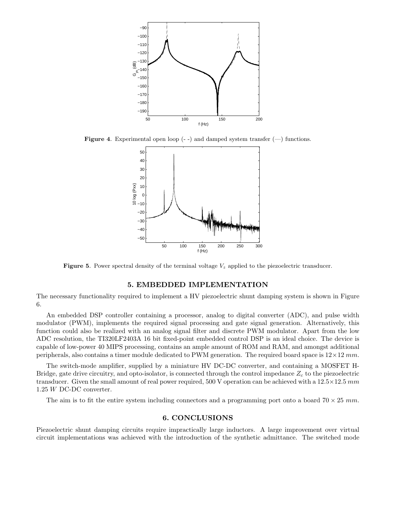

**Figure 4.** Experimental open loop  $(-)$  and damped system transfer  $(-)$  functions.



**Figure 5**. Power spectral density of the terminal voltage *<sup>V</sup><sup>z</sup>* applied to the piezoelectric transducer.

#### **5. EMBEDDED IMPLEMENTATION**

The necessary functionality required to implement a HV piezoelectric shunt damping system is shown in Figure 6.

An embedded DSP controller containing a processor, analog to digital converter (ADC), and pulse width modulator (PWM), implements the required signal processing and gate signal generation. Alternatively, this function could also be realized with an analog signal filter and discrete PWM modulator. Apart from the low ADC resolution, the TI320LF2403A 16 bit fixed-point embedded control DSP is an ideal choice. The device is capable of low-power 40 MIPS processing, contains an ample amount of ROM and RAM, and amongst additional peripherals, also contains a timer module dedicated to PWM generation. The required board space is  $12\times12$  mm.

The switch-mode amplifier, supplied by a miniature HV DC-DC converter, and containing a MOSFET H-Bridge, gate drive circuitry, and opto-isolator, is connected through the control impedance  $Z_c$  to the piezoelectric transducer. Given the small amount of real power required, 500 V operation can be achieved with a  $12.5 \times 12.5$  mm 1.25 W DC-DC converter.

The aim is to fit the entire system including connectors and a programming port onto a board  $70 \times 25$  mm.

#### **6. CONCLUSIONS**

Piezoelectric shunt damping circuits require impractically large inductors. A large improvement over virtual circuit implementations was achieved with the introduction of the synthetic admittance. The switched mode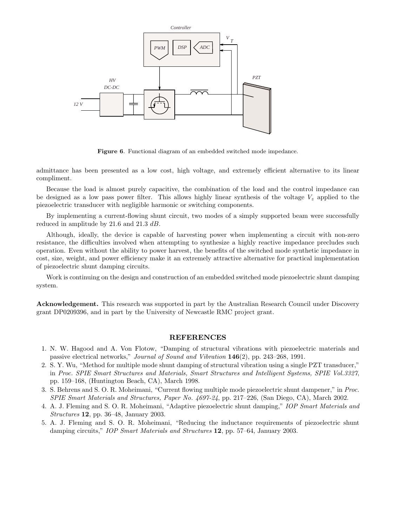

**Figure 6**. Functional diagram of an embedded switched mode impedance.

admittance has been presented as a low cost, high voltage, and extremely efficient alternative to its linear compliment.

Because the load is almost purely capacitive, the combination of the load and the control impedance can be designed as a low pass power filter. This allows highly linear synthesis of the voltage  $V<sub>z</sub>$  applied to the piezoelectric transducer with negligible harmonic or switching components.

By implementing a current-flowing shunt circuit, two modes of a simply supported beam were successfully reduced in amplitude by 21.6 and 21.3 dB.

Although, ideally, the device is capable of harvesting power when implementing a circuit with non-zero resistance, the difficulties involved when attempting to synthesize a highly reactive impedance precludes such operation. Even without the ability to power harvest, the benefits of the switched mode synthetic impedance in cost, size, weight, and power efficiency make it an extremely attractive alternative for practical implementation of piezoelectric shunt damping circuits.

Work is continuing on the design and construction of an embedded switched mode piezoelectric shunt damping system.

**Acknowledgement.** This research was supported in part by the Australian Research Council under Discovery grant DP0209396, and in part by the University of Newcastle RMC project grant.

### **REFERENCES**

- 1. N. W. Hagood and A. Von Flotow, "Damping of structural vibrations with piezoelectric materials and passive electrical networks," Journal of Sound and Vibration **146**(2), pp. 243–268, 1991.
- 2. S. Y. Wu, "Method for multiple mode shunt damping of structural vibration using a single PZT transducer," in Proc. SPIE Smart Structures and Materials, Smart Structures and Intelligent Systems, SPIE Vol.3327, pp. 159–168, (Huntington Beach, CA), March 1998.
- 3. S. Behrens and S. O. R. Moheimani, "Current flowing multiple mode piezoelectric shunt dampener," in Proc. SPIE Smart Materials and Structures, Paper No. 4697-24, pp. 217–226, (San Diego, CA), March 2002.
- 4. A. J. Fleming and S. O. R. Moheimani, "Adaptive piezoelectric shunt damping," IOP Smart Materials and Structures **12**, pp. 36–48, January 2003.
- 5. A. J. Fleming and S. O. R. Moheimani, "Reducing the inductance requirements of piezoelectric shunt damping circuits," IOP Smart Materials and Structures **12**, pp. 57–64, January 2003.